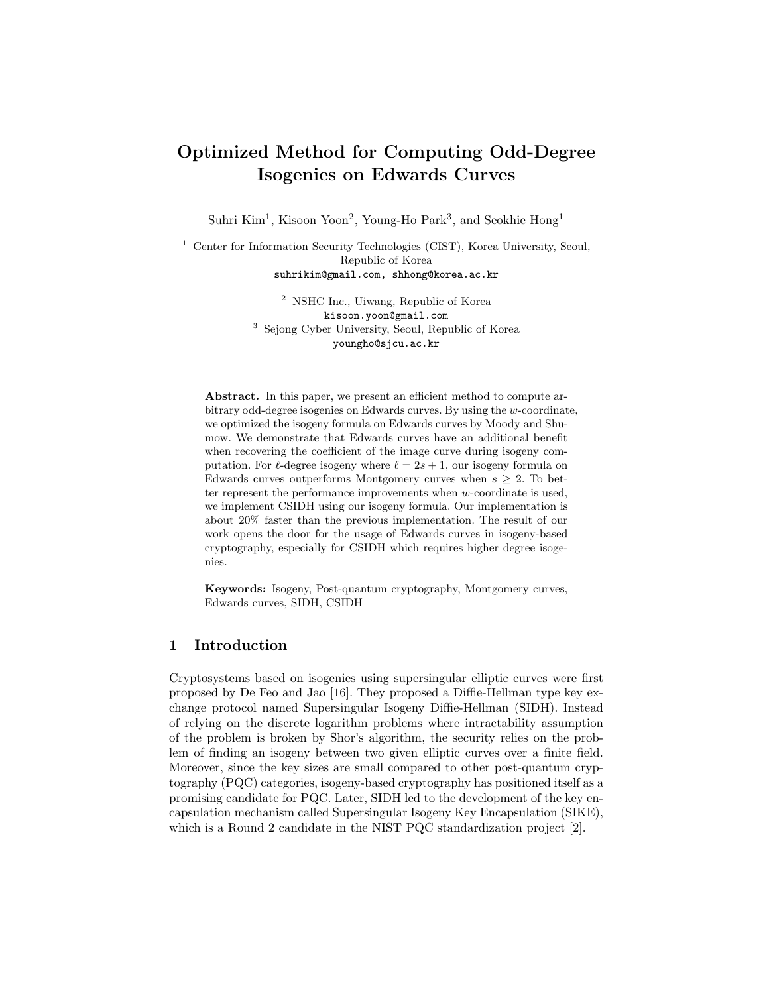# Optimized Method for Computing Odd-Degree Isogenies on Edwards Curves

Suhri Kim<sup>1</sup>, Kisoon Yoon<sup>2</sup>, Young-Ho Park<sup>3</sup>, and Seokhie Hong<sup>1</sup>

<sup>1</sup> Center for Information Security Technologies (CIST), Korea University, Seoul, Republic of Korea suhrikim@gmail.com, shhong@korea.ac.kr

> <sup>2</sup> NSHC Inc., Uiwang, Republic of Korea kisoon.yoon@gmail.com <sup>3</sup> Sejong Cyber University, Seoul, Republic of Korea youngho@sjcu.ac.kr

Abstract. In this paper, we present an efficient method to compute arbitrary odd-degree isogenies on Edwards curves. By using the w-coordinate, we optimized the isogeny formula on Edwards curves by Moody and Shumow. We demonstrate that Edwards curves have an additional benefit when recovering the coefficient of the image curve during isogeny computation. For  $\ell$ -degree isogeny where  $\ell = 2s + 1$ , our isogeny formula on Edwards curves outperforms Montgomery curves when  $s \geq 2$ . To better represent the performance improvements when w-coordinate is used, we implement CSIDH using our isogeny formula. Our implementation is about 20% faster than the previous implementation. The result of our work opens the door for the usage of Edwards curves in isogeny-based cryptography, especially for CSIDH which requires higher degree isogenies.

Keywords: Isogeny, Post-quantum cryptography, Montgomery curves, Edwards curves, SIDH, CSIDH

# 1 Introduction

Cryptosystems based on isogenies using supersingular elliptic curves were first proposed by De Feo and Jao [16]. They proposed a Diffie-Hellman type key exchange protocol named Supersingular Isogeny Diffie-Hellman (SIDH). Instead of relying on the discrete logarithm problems where intractability assumption of the problem is broken by Shor's algorithm, the security relies on the problem of finding an isogeny between two given elliptic curves over a finite field. Moreover, since the key sizes are small compared to other post-quantum cryptography (PQC) categories, isogeny-based cryptography has positioned itself as a promising candidate for PQC. Later, SIDH led to the development of the key encapsulation mechanism called Supersingular Isogeny Key Encapsulation (SIKE), which is a Round 2 candidate in the NIST PQC standardization project [2].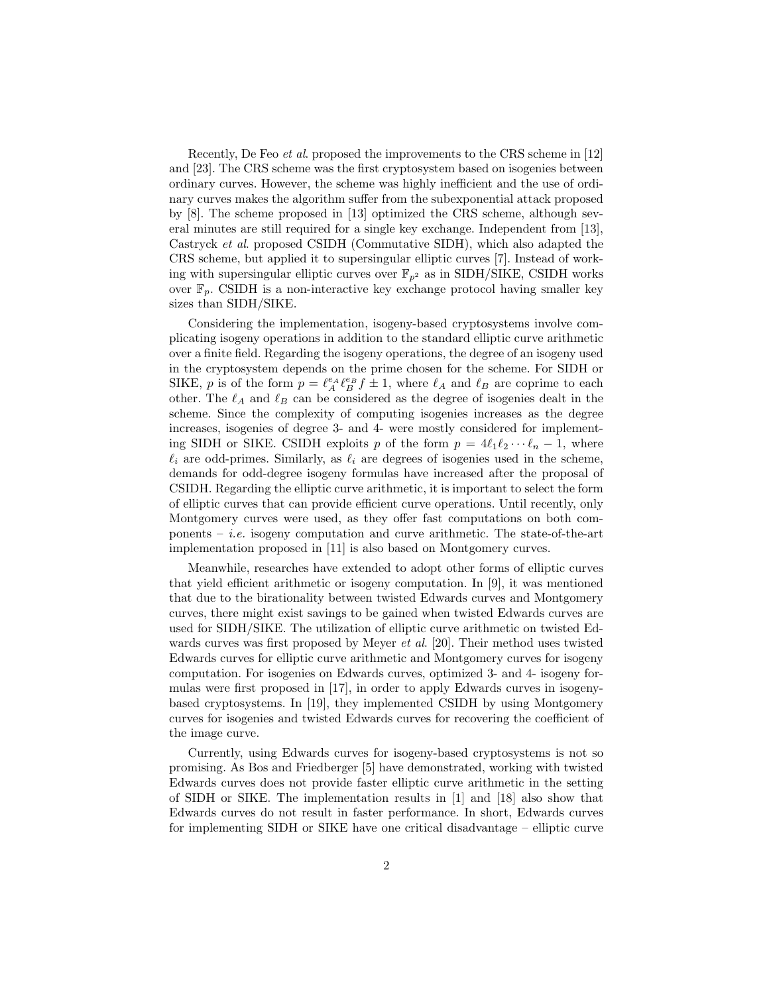Recently, De Feo et al. proposed the improvements to the CRS scheme in [12] and [23]. The CRS scheme was the first cryptosystem based on isogenies between ordinary curves. However, the scheme was highly inefficient and the use of ordinary curves makes the algorithm suffer from the subexponential attack proposed by [8]. The scheme proposed in [13] optimized the CRS scheme, although several minutes are still required for a single key exchange. Independent from [13], Castryck et al. proposed CSIDH (Commutative SIDH), which also adapted the CRS scheme, but applied it to supersingular elliptic curves [7]. Instead of working with supersingular elliptic curves over  $\mathbb{F}_{p^2}$  as in SIDH/SIKE, CSIDH works over  $\mathbb{F}_p$ . CSIDH is a non-interactive key exchange protocol having smaller key sizes than SIDH/SIKE.

Considering the implementation, isogeny-based cryptosystems involve complicating isogeny operations in addition to the standard elliptic curve arithmetic over a finite field. Regarding the isogeny operations, the degree of an isogeny used in the cryptosystem depends on the prime chosen for the scheme. For SIDH or SIKE, p is of the form  $p = \ell_A^{\varepsilon_A} \ell_B^{\varepsilon_B} f \pm 1$ , where  $\ell_A$  and  $\ell_B$  are coprime to each other. The  $\ell_A$  and  $\ell_B$  can be considered as the degree of isogenies dealt in the scheme. Since the complexity of computing isogenies increases as the degree increases, isogenies of degree 3- and 4- were mostly considered for implementing SIDH or SIKE. CSIDH exploits p of the form  $p = 4\ell_1\ell_2 \cdots \ell_n - 1$ , where  $\ell_i$  are odd-primes. Similarly, as  $\ell_i$  are degrees of isogenies used in the scheme, demands for odd-degree isogeny formulas have increased after the proposal of CSIDH. Regarding the elliptic curve arithmetic, it is important to select the form of elliptic curves that can provide efficient curve operations. Until recently, only Montgomery curves were used, as they offer fast computations on both components  $- i.e.$  isogeny computation and curve arithmetic. The state-of-the-art implementation proposed in [11] is also based on Montgomery curves.

Meanwhile, researches have extended to adopt other forms of elliptic curves that yield efficient arithmetic or isogeny computation. In [9], it was mentioned that due to the birationality between twisted Edwards curves and Montgomery curves, there might exist savings to be gained when twisted Edwards curves are used for SIDH/SIKE. The utilization of elliptic curve arithmetic on twisted Edwards curves was first proposed by Meyer et al. [20]. Their method uses twisted Edwards curves for elliptic curve arithmetic and Montgomery curves for isogeny computation. For isogenies on Edwards curves, optimized 3- and 4- isogeny formulas were first proposed in [17], in order to apply Edwards curves in isogenybased cryptosystems. In [19], they implemented CSIDH by using Montgomery curves for isogenies and twisted Edwards curves for recovering the coefficient of the image curve.

Currently, using Edwards curves for isogeny-based cryptosystems is not so promising. As Bos and Friedberger [5] have demonstrated, working with twisted Edwards curves does not provide faster elliptic curve arithmetic in the setting of SIDH or SIKE. The implementation results in [1] and [18] also show that Edwards curves do not result in faster performance. In short, Edwards curves for implementing SIDH or SIKE have one critical disadvantage – elliptic curve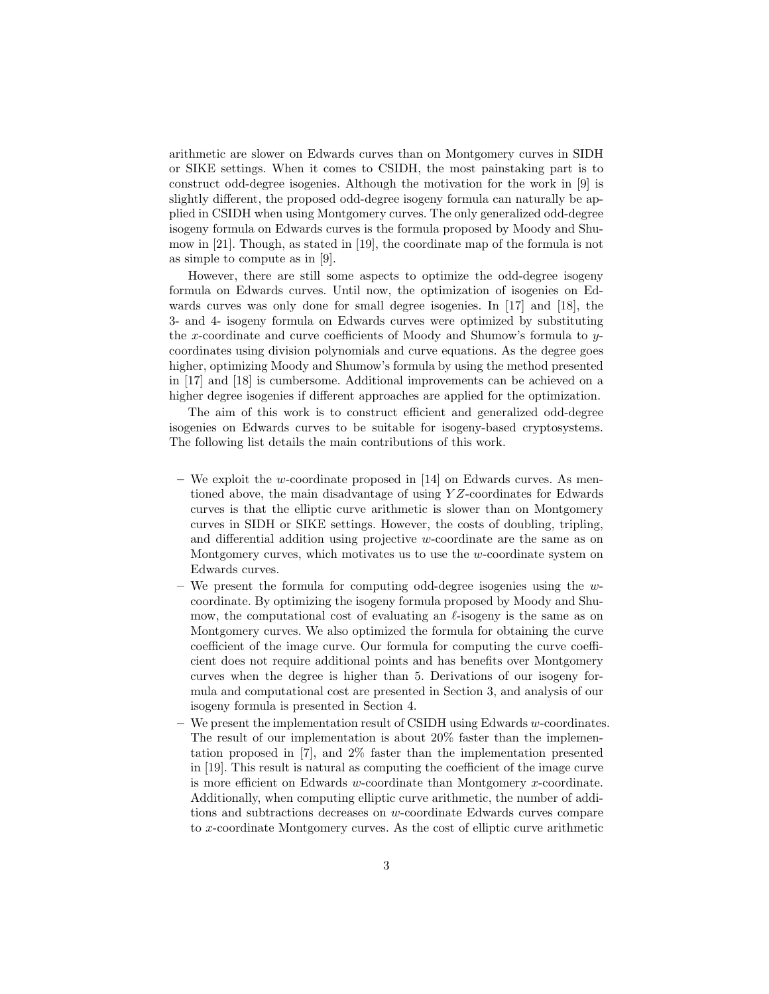arithmetic are slower on Edwards curves than on Montgomery curves in SIDH or SIKE settings. When it comes to CSIDH, the most painstaking part is to construct odd-degree isogenies. Although the motivation for the work in [9] is slightly different, the proposed odd-degree isogeny formula can naturally be applied in CSIDH when using Montgomery curves. The only generalized odd-degree isogeny formula on Edwards curves is the formula proposed by Moody and Shumow in [21]. Though, as stated in [19], the coordinate map of the formula is not as simple to compute as in [9].

However, there are still some aspects to optimize the odd-degree isogeny formula on Edwards curves. Until now, the optimization of isogenies on Edwards curves was only done for small degree isogenies. In [17] and [18], the 3- and 4- isogeny formula on Edwards curves were optimized by substituting the x-coordinate and curve coefficients of Moody and Shumow's formula to ycoordinates using division polynomials and curve equations. As the degree goes higher, optimizing Moody and Shumow's formula by using the method presented in [17] and [18] is cumbersome. Additional improvements can be achieved on a higher degree isogenies if different approaches are applied for the optimization.

The aim of this work is to construct efficient and generalized odd-degree isogenies on Edwards curves to be suitable for isogeny-based cryptosystems. The following list details the main contributions of this work.

- We exploit the w-coordinate proposed in [14] on Edwards curves. As mentioned above, the main disadvantage of using Y Z-coordinates for Edwards curves is that the elliptic curve arithmetic is slower than on Montgomery curves in SIDH or SIKE settings. However, the costs of doubling, tripling, and differential addition using projective w-coordinate are the same as on Montgomery curves, which motivates us to use the w-coordinate system on Edwards curves.
- $-$  We present the formula for computing odd-degree isogenies using the wcoordinate. By optimizing the isogeny formula proposed by Moody and Shumow, the computational cost of evaluating an  $\ell$ -isogeny is the same as on Montgomery curves. We also optimized the formula for obtaining the curve coefficient of the image curve. Our formula for computing the curve coefficient does not require additional points and has benefits over Montgomery curves when the degree is higher than 5. Derivations of our isogeny formula and computational cost are presented in Section 3, and analysis of our isogeny formula is presented in Section 4.
- $-$  We present the implementation result of CSIDH using Edwards  $w$ -coordinates. The result of our implementation is about 20% faster than the implementation proposed in [7], and 2% faster than the implementation presented in [19]. This result is natural as computing the coefficient of the image curve is more efficient on Edwards w-coordinate than Montgomery x-coordinate. Additionally, when computing elliptic curve arithmetic, the number of additions and subtractions decreases on w-coordinate Edwards curves compare to x-coordinate Montgomery curves. As the cost of elliptic curve arithmetic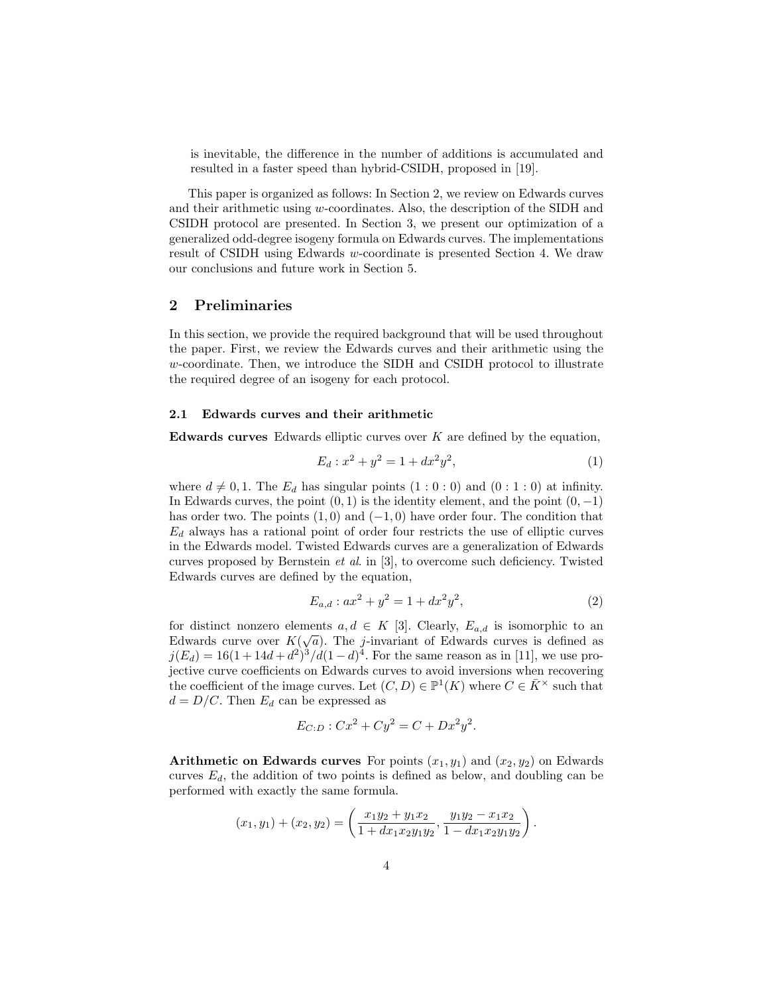is inevitable, the difference in the number of additions is accumulated and resulted in a faster speed than hybrid-CSIDH, proposed in [19].

This paper is organized as follows: In Section 2, we review on Edwards curves and their arithmetic using w-coordinates. Also, the description of the SIDH and CSIDH protocol are presented. In Section 3, we present our optimization of a generalized odd-degree isogeny formula on Edwards curves. The implementations result of CSIDH using Edwards w-coordinate is presented Section 4. We draw our conclusions and future work in Section 5.

## 2 Preliminaries

In this section, we provide the required background that will be used throughout the paper. First, we review the Edwards curves and their arithmetic using the w-coordinate. Then, we introduce the SIDH and CSIDH protocol to illustrate the required degree of an isogeny for each protocol.

#### 2.1 Edwards curves and their arithmetic

**Edwards curves** Edwards elliptic curves over  $K$  are defined by the equation,

$$
E_d: x^2 + y^2 = 1 + dx^2 y^2,
$$
\n(1)

where  $d \neq 0, 1$ . The  $E_d$  has singular points  $(1 : 0 : 0)$  and  $(0 : 1 : 0)$  at infinity. In Edwards curves, the point  $(0, 1)$  is the identity element, and the point  $(0, -1)$ has order two. The points  $(1,0)$  and  $(-1,0)$  have order four. The condition that  $E_d$  always has a rational point of order four restricts the use of elliptic curves in the Edwards model. Twisted Edwards curves are a generalization of Edwards curves proposed by Bernstein et al. in [3], to overcome such deficiency. Twisted Edwards curves are defined by the equation,

$$
E_{a,d}: ax^2 + y^2 = 1 + dx^2y^2,
$$
\n(2)

.

for distinct nonzero elements  $a, d \in K$  [3]. Clearly,  $E_{a,d}$  is isomorphic to an Edwards curve over  $K(\sqrt{a})$ . The *j*-invariant of Edwards curves is defined as  $j(E_d) = 16(1 + 14d + d^2)^3/d(1 - d)^4$ . For the same reason as in [11], we use projective curve coefficients on Edwards curves to avoid inversions when recovering the coefficient of the image curves. Let  $(C, D) \in \mathbb{P}^1(K)$  where  $C \in \overline{K}^\times$  such that  $d = D/C$ . Then  $E_d$  can be expressed as

$$
E_{C:D}: C x^2 + C y^2 = C + D x^2 y^2.
$$

Arithmetic on Edwards curves For points  $(x_1, y_1)$  and  $(x_2, y_2)$  on Edwards curves  $E_d$ , the addition of two points is defined as below, and doubling can be performed with exactly the same formula.

$$
(x_1, y_1) + (x_2, y_2) = \left(\frac{x_1y_2 + y_1x_2}{1 + dx_1x_2y_1y_2}, \frac{y_1y_2 - x_1x_2}{1 - dx_1x_2y_1y_2}\right)
$$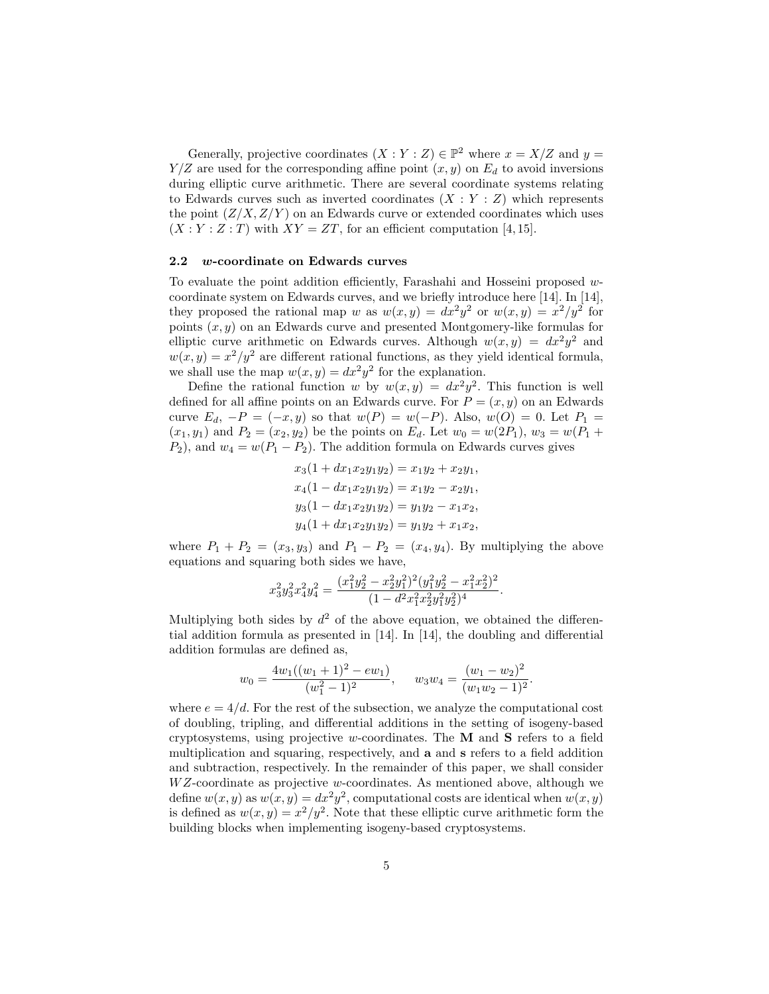Generally, projective coordinates  $(X:Y:Z) \in \mathbb{P}^2$  where  $x = X/Z$  and  $y =$  $Y/Z$  are used for the corresponding affine point  $(x, y)$  on  $E_d$  to avoid inversions during elliptic curve arithmetic. There are several coordinate systems relating to Edwards curves such as inverted coordinates  $(X:Y:Z)$  which represents the point  $(Z/X, Z/Y)$  on an Edwards curve or extended coordinates which uses  $(X:Y:Z:T)$  with  $XY=ZT$ , for an efficient computation [4,15].

#### 2.2 w-coordinate on Edwards curves

To evaluate the point addition efficiently, Farashahi and Hosseini proposed  $w$ coordinate system on Edwards curves, and we briefly introduce here [14]. In [14], they proposed the rational map w as  $w(x,y) = dx^2y^2$  or  $w(x,y) = x^2/y^2$  for points  $(x, y)$  on an Edwards curve and presented Montgomery-like formulas for elliptic curve arithmetic on Edwards curves. Although  $w(x, y) = dx^2y^2$  and  $w(x, y) = x^2/y^2$  are different rational functions, as they yield identical formula, we shall use the map  $w(x, y) = dx^2 y^2$  for the explanation.

Define the rational function w by  $w(x, y) = dx^2y^2$ . This function is well defined for all affine points on an Edwards curve. For  $P = (x, y)$  on an Edwards curve  $E_d$ ,  $-P = (-x, y)$  so that  $w(P) = w(-P)$ . Also,  $w(O) = 0$ . Let  $P_1 =$  $(x_1, y_1)$  and  $P_2 = (x_2, y_2)$  be the points on  $E_d$ . Let  $w_0 = w(2P_1), w_3 = w(P_1 +$  $P_2$ , and  $w_4 = w(P_1 - P_2)$ . The addition formula on Edwards curves gives

$$
x_3(1+dx_1x_2y_1y_2) = x_1y_2 + x_2y_1,
$$
  
\n
$$
x_4(1 - dx_1x_2y_1y_2) = x_1y_2 - x_2y_1,
$$
  
\n
$$
y_3(1 - dx_1x_2y_1y_2) = y_1y_2 - x_1x_2,
$$
  
\n
$$
y_4(1 + dx_1x_2y_1y_2) = y_1y_2 + x_1x_2,
$$

where  $P_1 + P_2 = (x_3, y_3)$  and  $P_1 - P_2 = (x_4, y_4)$ . By multiplying the above equations and squaring both sides we have,

$$
x_3^2y_3^2x_4^2y_4^2=\frac{(x_1^2y_2^2-x_2^2y_1^2)^2(y_1^2y_2^2-x_1^2x_2^2)^2}{(1-d^2x_1^2x_2^2y_1^2y_2^2)^4}.
$$

Multiplying both sides by  $d^2$  of the above equation, we obtained the differential addition formula as presented in [14]. In [14], the doubling and differential addition formulas are defined as,

$$
w_0 = \frac{4w_1((w_1+1)^2 - ew_1)}{(w_1^2-1)^2}, \qquad w_3w_4 = \frac{(w_1-w_2)^2}{(w_1w_2-1)^2}
$$

.

where  $e = 4/d$ . For the rest of the subsection, we analyze the computational cost of doubling, tripling, and differential additions in the setting of isogeny-based cryptosystems, using projective w-coordinates. The  $M$  and  $S$  refers to a field multiplication and squaring, respectively, and a and s refers to a field addition and subtraction, respectively. In the remainder of this paper, we shall consider  $WZ$ -coordinate as projective w-coordinates. As mentioned above, although we define  $w(x, y)$  as  $w(x, y) = dx^2y^2$ , computational costs are identical when  $w(x, y)$ is defined as  $w(x, y) = x^2/y^2$ . Note that these elliptic curve arithmetic form the building blocks when implementing isogeny-based cryptosystems.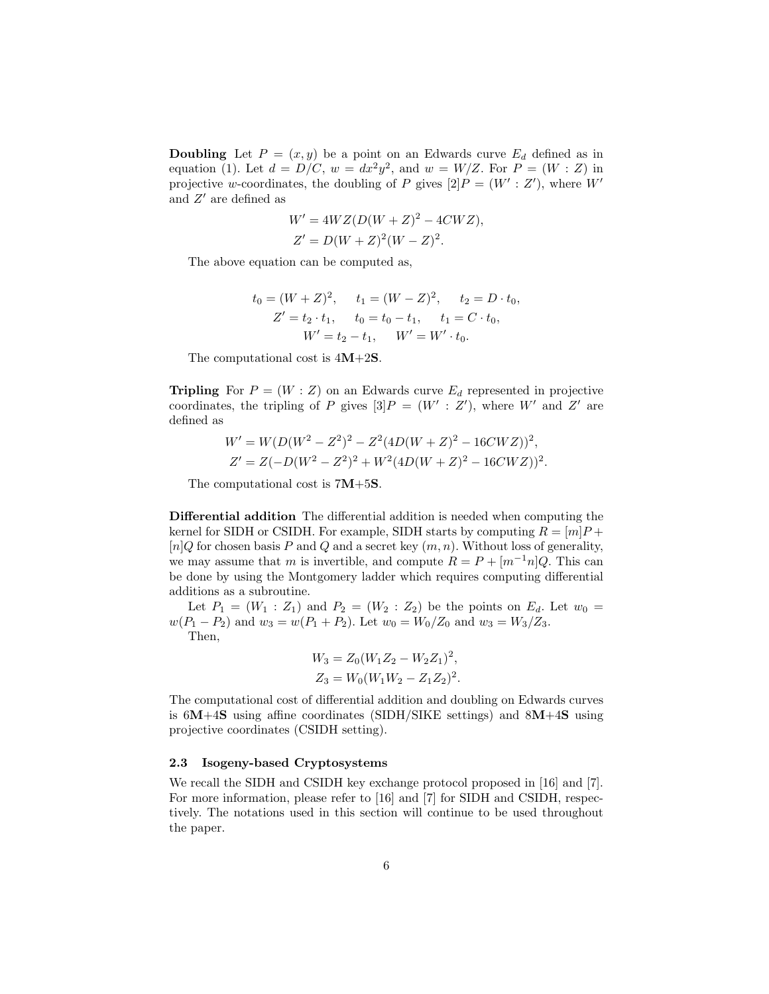**Doubling** Let  $P = (x, y)$  be a point on an Edwards curve  $E_d$  defined as in equation (1). Let  $d = D/C$ ,  $w = dx^2y^2$ , and  $w = W/Z$ . For  $P = (W : Z)$  in projective w-coordinates, the doubling of P gives  $[2]P = (W' : Z')$ , where W' and  $Z'$  are defined as

$$
W' = 4WZ(D(W + Z)2 - 4CWZ),
$$
  
\n
$$
Z' = D(W + Z)2(W - Z)2.
$$

The above equation can be computed as,

$$
t_0 = (W + Z)^2, \t t_1 = (W - Z)^2, \t t_2 = D \cdot t_0,
$$
  
\n
$$
Z' = t_2 \cdot t_1, \t t_0 = t_0 - t_1, \t t_1 = C \cdot t_0,
$$
  
\n
$$
W' = t_2 - t_1, \t W' = W' \cdot t_0.
$$

The computational cost is  $4M+2S$ .

**Tripling** For  $P = (W : Z)$  on an Edwards curve  $E_d$  represented in projective coordinates, the tripling of P gives  $[3]P = (W' : Z')$ , where W' and Z' are defined as

$$
W' = W(D(W^2 - Z^2)^2 - Z^2(4D(W + Z)^2 - 16CWZ))^2,
$$
  
\n
$$
Z' = Z(-D(W^2 - Z^2)^2 + W^2(4D(W + Z)^2 - 16CWZ))^2.
$$

The computational cost is 7M+5S.

Differential addition The differential addition is needed when computing the kernel for SIDH or CSIDH. For example, SIDH starts by computing  $R = [m]P +$  $[n]Q$  for chosen basis P and Q and a secret key  $(m, n)$ . Without loss of generality, we may assume that m is invertible, and compute  $R = P + [m^{-1}n]Q$ . This can be done by using the Montgomery ladder which requires computing differential additions as a subroutine.

Let  $P_1 = (W_1 : Z_1)$  and  $P_2 = (W_2 : Z_2)$  be the points on  $E_d$ . Let  $w_0 =$  $w(P_1 - P_2)$  and  $w_3 = w(P_1 + P_2)$ . Let  $w_0 = W_0/Z_0$  and  $w_3 = W_3/Z_3$ . Then,

$$
W_3 = Z_0 (W_1 Z_2 - W_2 Z_1)^2,
$$
  
\n
$$
Z_3 = W_0 (W_1 W_2 - Z_1 Z_2)^2.
$$

The computational cost of differential addition and doubling on Edwards curves is  $6M+4S$  using affine coordinates (SIDH/SIKE settings) and  $8M+4S$  using projective coordinates (CSIDH setting).

#### 2.3 Isogeny-based Cryptosystems

We recall the SIDH and CSIDH key exchange protocol proposed in [16] and [7]. For more information, please refer to [16] and [7] for SIDH and CSIDH, respectively. The notations used in this section will continue to be used throughout the paper.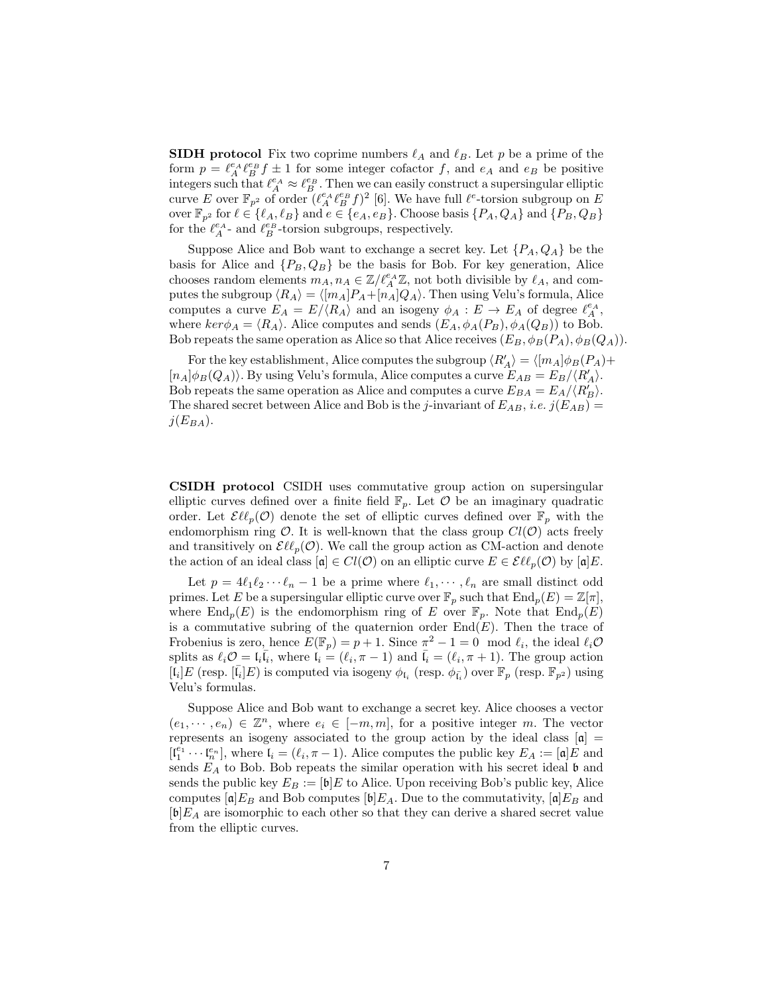**SIDH** protocol Fix two coprime numbers  $\ell_A$  and  $\ell_B$ . Let p be a prime of the form  $p = \ell_A^{\epsilon A} \ell_B^{\epsilon B} f \pm 1$  for some integer cofactor f, and  $\epsilon_A$  and  $\epsilon_B$  be positive integers such that  $\ell_A^{e_A} \approx \ell_B^{e_B}$ . Then we can easily construct a supersingular elliptic curve E over  $\mathbb{F}_{p^2}$  of order  $(\ell_A^e \ell_B^e f)^2$  [6]. We have full  $\ell^e$ -torsion subgroup on E over  $\mathbb{F}_{p^2}$  for  $\ell \in \{\ell_A, \ell_B\}$  and  $e \in \{e_A, e_B\}$ . Choose basis  $\{P_A, Q_A\}$  and  $\{P_B, Q_B\}$ for the  $\ell_A^{e_A}$ - and  $\ell_B^{e_B}$ -torsion subgroups, respectively.

Suppose Alice and Bob want to exchange a secret key. Let  $\{P_A, Q_A\}$  be the basis for Alice and  $\{P_B, Q_B\}$  be the basis for Bob. For key generation, Alice chooses random elements  $m_A, n_A \in \mathbb{Z}/\ell_A^{e_A} \mathbb{Z}$ , not both divisible by  $\ell_A$ , and computes the subgroup  $\langle R_A \rangle = \langle [m_A]P_A+[n_A]Q_A \rangle$ . Then using Velu's formula, Alice computes a curve  $E_A = E / \langle R_A \rangle$  and an isogeny  $\phi_A : E \to E_A$  of degree  $\ell_A^{e_A},$ where  $ker \phi_A = \langle R_A \rangle$ . Alice computes and sends  $(E_A, \phi_A(P_B), \phi_A(Q_B))$  to Bob. Bob repeats the same operation as Alice so that Alice receives  $(E_B, \phi_B(P_A), \phi_B(Q_A)).$ 

For the key establishment, Alice computes the subgroup  $\langle R'_A \rangle = \langle [m_A] \phi_B(P_A) + \phi_B(P_B) \rangle$  $[n_A]\phi_B(Q_A)\rangle$ . By using Velu's formula, Alice computes a curve  $E_{AB} = E_B/\langle R'_A \rangle$ . Bob repeats the same operation as Alice and computes a curve  $E_{BA} = E_A / \langle R_B' \rangle$ . The shared secret between Alice and Bob is the j-invariant of  $E_{AB}$ , i.e.  $j(E_{AB})$  =  $j(E_{BA})$ .

CSIDH protocol CSIDH uses commutative group action on supersingular elliptic curves defined over a finite field  $\mathbb{F}_p$ . Let  $\mathcal O$  be an imaginary quadratic order. Let  $\mathcal{E}\ell\ell_p(\mathcal{O})$  denote the set of elliptic curves defined over  $\mathbb{F}_p$  with the endomorphism ring  $\mathcal{O}$ . It is well-known that the class group  $Cl(\mathcal{O})$  acts freely and transitively on  $\mathcal{EU}_p(\mathcal{O})$ . We call the group action as CM-action and denote the action of an ideal class  $[\mathfrak{a}] \in Cl(\mathcal{O})$  on an elliptic curve  $E \in \mathcal{EU}_p(\mathcal{O})$  by  $[\mathfrak{a}]E$ .

Let  $p = 4\ell_1\ell_2 \cdots \ell_n - 1$  be a prime where  $\ell_1, \cdots, \ell_n$  are small distinct odd primes. Let E be a supersingular elliptic curve over  $\mathbb{F}_p$  such that  $\text{End}_p(E) = \mathbb{Z}[\pi],$ where  $\text{End}_p(E)$  is the endomorphism ring of E over  $\mathbb{F}_p$ . Note that  $\text{End}_p(E)$ is a commutative subring of the quaternion order  $End(E)$ . Then the trace of Frobenius is zero, hence  $E(\mathbb{F}_p) = p + 1$ . Since  $\pi^2 - 1 = 0 \mod l_i$ , the ideal  $l_i\mathcal{O}$ splits as  $\ell_i \mathcal{O} = \mathfrak{l}_i \overline{\mathfrak{l}_i}$ , where  $\mathfrak{l}_i = (\ell_i, \pi - 1)$  and  $\overline{\mathfrak{l}_i} = (\ell_i, \pi + 1)$ . The group action  $[\bar{\mathfrak{l}}_i]E$  (resp.  $[\bar{\mathfrak{l}}_i]E$ ) is computed via isogeny  $\phi_{\mathfrak{l}_i}$  (resp.  $\phi_{\bar{\mathfrak{l}}_i}$ ) over  $\mathbb{F}_p$  (resp.  $\mathbb{F}_{p^2}$ ) using Velu's formulas.

Suppose Alice and Bob want to exchange a secret key. Alice chooses a vector  $(e_1, \dots, e_n) \in \mathbb{Z}^n$ , where  $e_i \in [-m, m]$ , for a positive integer m. The vector represents an isogeny associated to the group action by the ideal class  $[\alpha]$  =  $[\mathfrak{l}_1^{e_1} \cdots \mathfrak{l}_n^{e_n}],$  where  $\mathfrak{l}_i = (\ell_i, \pi - 1)$ . Alice computes the public key  $E_A := [\mathfrak{a}]E$  and sends  $E_A$  to Bob. Bob repeats the similar operation with his secret ideal b and sends the public key  $E_B := [\mathfrak{b}]E$  to Alice. Upon receiving Bob's public key, Alice computes  $[a]E_B$  and Bob computes  $[b]E_A$ . Due to the commutativity,  $[a]E_B$  and  $[\mathfrak{b}]E_A$  are isomorphic to each other so that they can derive a shared secret value from the elliptic curves.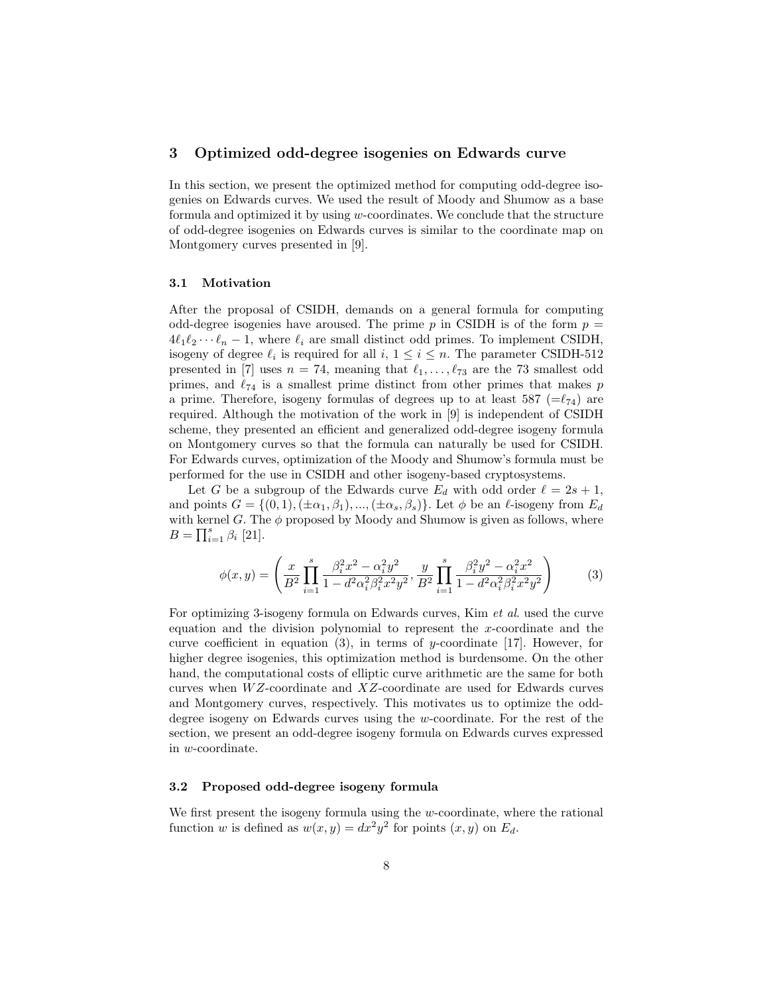## 3 Optimized odd-degree isogenies on Edwards curve

In this section, we present the optimized method for computing odd-degree isogenies on Edwards curves. We used the result of Moody and Shumow as a base formula and optimized it by using  $w$ -coordinates. We conclude that the structure of odd-degree isogenies on Edwards curves is similar to the coordinate map on Montgomery curves presented in [9].

### 3.1 Motivation

After the proposal of CSIDH, demands on a general formula for computing odd-degree isogenies have aroused. The prime p in CSIDH is of the form  $p =$  $4\ell_1\ell_2 \cdots \ell_n - 1$ , where  $\ell_i$  are small distinct odd primes. To implement CSIDH, isogeny of degree  $\ell_i$  is required for all  $i, 1 \leq i \leq n$ . The parameter CSIDH-512 presented in [7] uses  $n = 74$ , meaning that  $\ell_1, \ldots, \ell_{73}$  are the 73 smallest odd primes, and  $\ell_{74}$  is a smallest prime distinct from other primes that makes p a prime. Therefore, isogeny formulas of degrees up to at least 587 ( $=\ell_{74}$ ) are required. Although the motivation of the work in [9] is independent of CSIDH scheme, they presented an efficient and generalized odd-degree isogeny formula on Montgomery curves so that the formula can naturally be used for CSIDH. For Edwards curves, optimization of the Moody and Shumow's formula must be performed for the use in CSIDH and other isogeny-based cryptosystems.

Let G be a subgroup of the Edwards curve  $E_d$  with odd order  $\ell = 2s + 1$ , and points  $G = \{(0, 1), (\pm \alpha_1, \beta_1), ..., (\pm \alpha_s, \beta_s)\}\.$  Let  $\phi$  be an  $\ell$ -isogeny from  $E_d$ with kernel G. The  $\phi$  proposed by Moody and Shumow is given as follows, where  $B = \prod_{i=1}^{s} \beta_i$  [21].

$$
\phi(x,y) = \left(\frac{x}{B^2} \prod_{i=1}^s \frac{\beta_i^2 x^2 - \alpha_i^2 y^2}{1 - d^2 \alpha_i^2 \beta_i^2 x^2 y^2}, \frac{y}{B^2} \prod_{i=1}^s \frac{\beta_i^2 y^2 - \alpha_i^2 x^2}{1 - d^2 \alpha_i^2 \beta_i^2 x^2 y^2}\right) \tag{3}
$$

For optimizing 3-isogeny formula on Edwards curves, Kim et al. used the curve equation and the division polynomial to represent the x-coordinate and the curve coefficient in equation  $(3)$ , in terms of y-coordinate [17]. However, for higher degree isogenies, this optimization method is burdensome. On the other hand, the computational costs of elliptic curve arithmetic are the same for both curves when  $WZ$ -coordinate and  $XZ$ -coordinate are used for Edwards curves and Montgomery curves, respectively. This motivates us to optimize the odddegree isogeny on Edwards curves using the w-coordinate. For the rest of the section, we present an odd-degree isogeny formula on Edwards curves expressed in w-coordinate.

## 3.2 Proposed odd-degree isogeny formula

We first present the isogeny formula using the  $w$ -coordinate, where the rational function w is defined as  $w(x, y) = dx^2y^2$  for points  $(x, y)$  on  $E_d$ .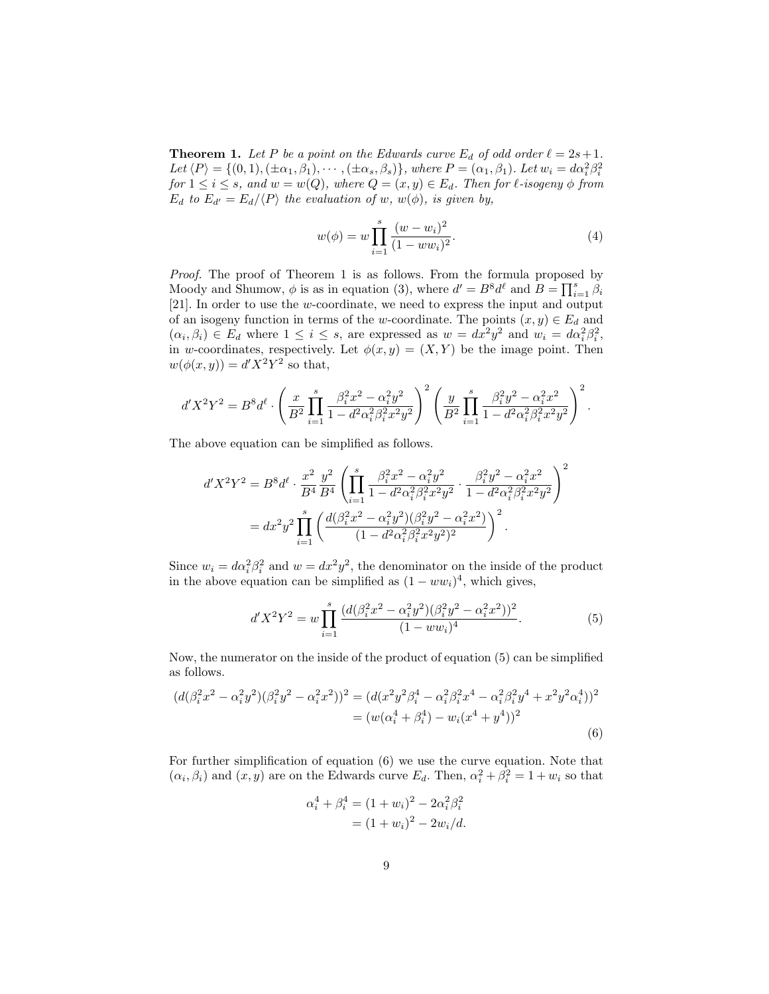**Theorem 1.** Let P be a point on the Edwards curve  $E_d$  of odd order  $\ell = 2s + 1$ . Let  $\langle P \rangle = \{(0,1),(\pm \alpha_1, \beta_1),\cdots,(\pm \alpha_s, \beta_s)\}\$ , where  $P = (\alpha_1, \beta_1)$ . Let  $w_i = d\alpha_i^2 \beta_i^2$ for  $1 \leq i \leq s$ , and  $w = w(Q)$ , where  $Q = (x, y) \in E_d$ . Then for  $\ell$ -isogeny  $\phi$  from  $E_d$  to  $E_{d'} = E_d / \langle P \rangle$  the evaluation of w,  $w(\phi)$ , is given by,

$$
w(\phi) = w \prod_{i=1}^{s} \frac{(w - w_i)^2}{(1 - ww_i)^2}.
$$
 (4)

Proof. The proof of Theorem 1 is as follows. From the formula proposed by Moody and Shumow,  $\phi$  is as in equation (3), where  $d' = B^8 d^{\ell}$  and  $B = \prod_{i=1}^s \beta_i$ [21]. In order to use the w-coordinate, we need to express the input and output of an isogeny function in terms of the w-coordinate. The points  $(x, y) \in E_d$  and  $(\alpha_i, \beta_i) \in E_d$  where  $1 \leq i \leq s$ , are expressed as  $w = dx^2 y^2$  and  $w_i = d\alpha_i^2 \beta_i^2$ , in w-coordinates, respectively. Let  $\phi(x, y) = (X, Y)$  be the image point. Then  $w(\phi(x,y)) = d'X^2Y^2$  so that,

$$
d'X^2Y^2 = B^8d^{\ell} \cdot \left(\frac{x}{B^2}\prod_{i=1}^s \frac{\beta_i^2x^2 - \alpha_i^2y^2}{1 - d^2\alpha_i^2\beta_i^2x^2y^2}\right)^2 \left(\frac{y}{B^2}\prod_{i=1}^s \frac{\beta_i^2y^2 - \alpha_i^2x^2}{1 - d^2\alpha_i^2\beta_i^2x^2y^2}\right)^2.
$$

The above equation can be simplified as follows.

$$
d'X^2Y^2 = B^8d^{\ell} \cdot \frac{x^2}{B^4} \frac{y^2}{B^4} \left( \prod_{i=1}^s \frac{\beta_i^2 x^2 - \alpha_i^2 y^2}{1 - d^2 \alpha_i^2 \beta_i^2 x^2 y^2} \cdot \frac{\beta_i^2 y^2 - \alpha_i^2 x^2}{1 - d^2 \alpha_i^2 \beta_i^2 x^2 y^2} \right)^2
$$
  
=  $dx^2y^2 \prod_{i=1}^s \left( \frac{d(\beta_i^2 x^2 - \alpha_i^2 y^2)(\beta_i^2 y^2 - \alpha_i^2 x^2)}{(1 - d^2 \alpha_i^2 \beta_i^2 x^2 y^2)^2} \right)^2$ .

Since  $w_i = d\alpha_i^2 \beta_i^2$  and  $w = dx^2 y^2$ , the denominator on the inside of the product in the above equation can be simplified as  $(1 - ww<sub>i</sub>)<sup>4</sup>$ , which gives,

$$
d'X^{2}Y^{2} = w \prod_{i=1}^{s} \frac{(d(\beta_{i}^{2}x^{2} - \alpha_{i}^{2}y^{2})(\beta_{i}^{2}y^{2} - \alpha_{i}^{2}x^{2}))^{2}}{(1 - ww_{i})^{4}}.
$$
\n(5)

Now, the numerator on the inside of the product of equation (5) can be simplified as follows.

$$
(d(\beta_i^2 x^2 - \alpha_i^2 y^2)(\beta_i^2 y^2 - \alpha_i^2 x^2))^2 = (d(x^2 y^2 \beta_i^4 - \alpha_i^2 \beta_i^2 x^4 - \alpha_i^2 \beta_i^2 y^4 + x^2 y^2 \alpha_i^4))^2
$$
  
= 
$$
(w(\alpha_i^4 + \beta_i^4) - w_i(x^4 + y^4))^2
$$
  
(6)

For further simplification of equation (6) we use the curve equation. Note that  $(\alpha_i, \beta_i)$  and  $(x, y)$  are on the Edwards curve  $E_d$ . Then,  $\alpha_i^2 + \beta_i^2 = 1 + w_i$  so that

$$
\alpha_i^4 + \beta_i^4 = (1 + w_i)^2 - 2\alpha_i^2 \beta_i^2
$$
  
=  $(1 + w_i)^2 - 2w_i/d$ .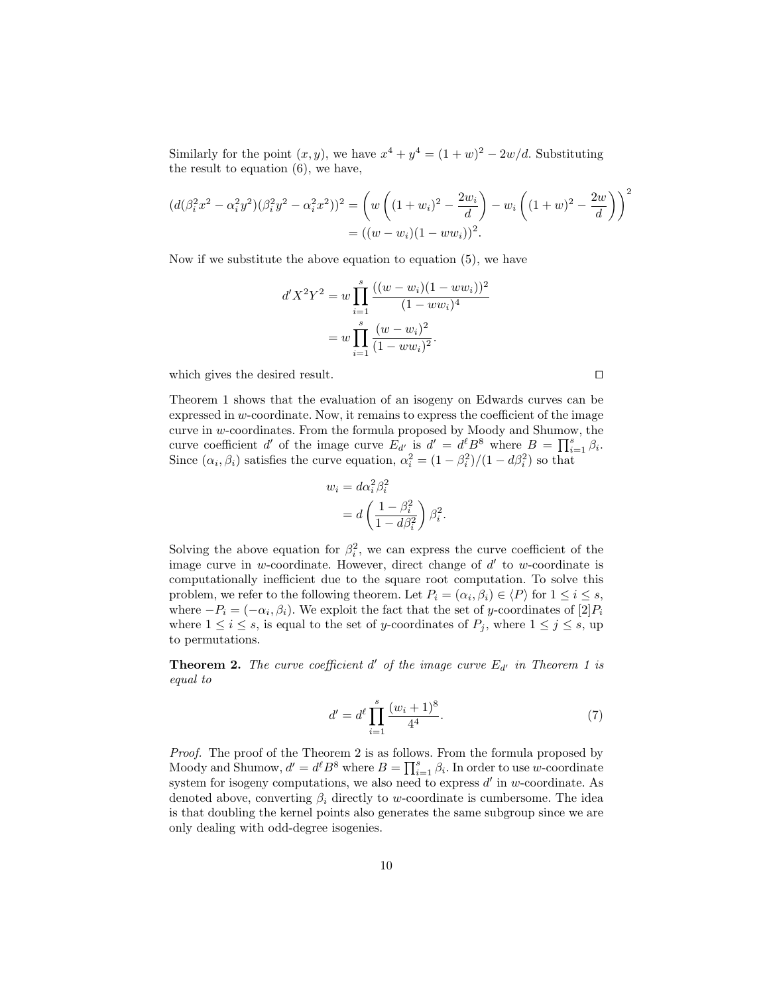Similarly for the point  $(x, y)$ , we have  $x^4 + y^4 = (1 + w)^2 - 2w/d$ . Substituting the result to equation (6), we have,

$$
\begin{aligned} (d(\beta_i^2 x^2 - \alpha_i^2 y^2)(\beta_i^2 y^2 - \alpha_i^2 x^2))^2 &= \left(w\left((1+w_i)^2 - \frac{2w_i}{d}\right) - w_i\left((1+w)^2 - \frac{2w}{d}\right)\right)^2 \\ &= ((w-w_i)(1 - w w_i))^2. \end{aligned}
$$

Now if we substitute the above equation to equation (5), we have

$$
d'X^{2}Y^{2} = w \prod_{i=1}^{s} \frac{((w - w_{i})(1 - ww_{i}))^{2}}{(1 - ww_{i})^{4}}
$$

$$
= w \prod_{i=1}^{s} \frac{(w - w_{i})^{2}}{(1 - ww_{i})^{2}}.
$$

which gives the desired result.  $\Box$ 

Theorem 1 shows that the evaluation of an isogeny on Edwards curves can be expressed in  $w$ -coordinate. Now, it remains to express the coefficient of the image curve in  $w$ -coordinates. From the formula proposed by Moody and Shumow, the curve coefficient d' of the image curve  $E_{d'}$  is  $d' = d^{\ell}B^8$  where  $B = \prod_{i=1}^{s} \beta_i$ . Since  $(\alpha_i, \beta_i)$  satisfies the curve equation,  $\alpha_i^2 = (1 - \beta_i^2)/(1 - d\beta_i^2)$  so that

$$
w_i = d\alpha_i^2 \beta_i^2
$$
  
=  $d\left(\frac{1 - \beta_i^2}{1 - d\beta_i^2}\right) \beta_i^2$ .

Solving the above equation for  $\beta_i^2$ , we can express the curve coefficient of the image curve in  $w$ -coordinate. However, direct change of  $d'$  to  $w$ -coordinate is computationally inefficient due to the square root computation. To solve this problem, we refer to the following theorem. Let  $P_i = (\alpha_i, \beta_i) \in \langle P \rangle$  for  $1 \le i \le s$ , where  $-P_i = (-\alpha_i, \beta_i)$ . We exploit the fact that the set of y-coordinates of  $[2]P_i$ where  $1 \leq i \leq s$ , is equal to the set of y-coordinates of  $P_j$ , where  $1 \leq j \leq s$ , up to permutations.

**Theorem 2.** The curve coefficient  $d'$  of the image curve  $E_{d'}$  in Theorem 1 is equal to

$$
d' = d^{\ell} \prod_{i=1}^{s} \frac{(w_i + 1)^8}{4^4}.
$$
 (7)

Proof. The proof of the Theorem 2 is as follows. From the formula proposed by Moody and Shumow,  $d' = d^{\ell} B^8$  where  $B = \prod_{i=1}^{s} \beta_i$ . In order to use w-coordinate system for isogeny computations, we also need to express  $d'$  in w-coordinate. As denoted above, converting  $\beta_i$  directly to w-coordinate is cumbersome. The idea is that doubling the kernel points also generates the same subgroup since we are only dealing with odd-degree isogenies.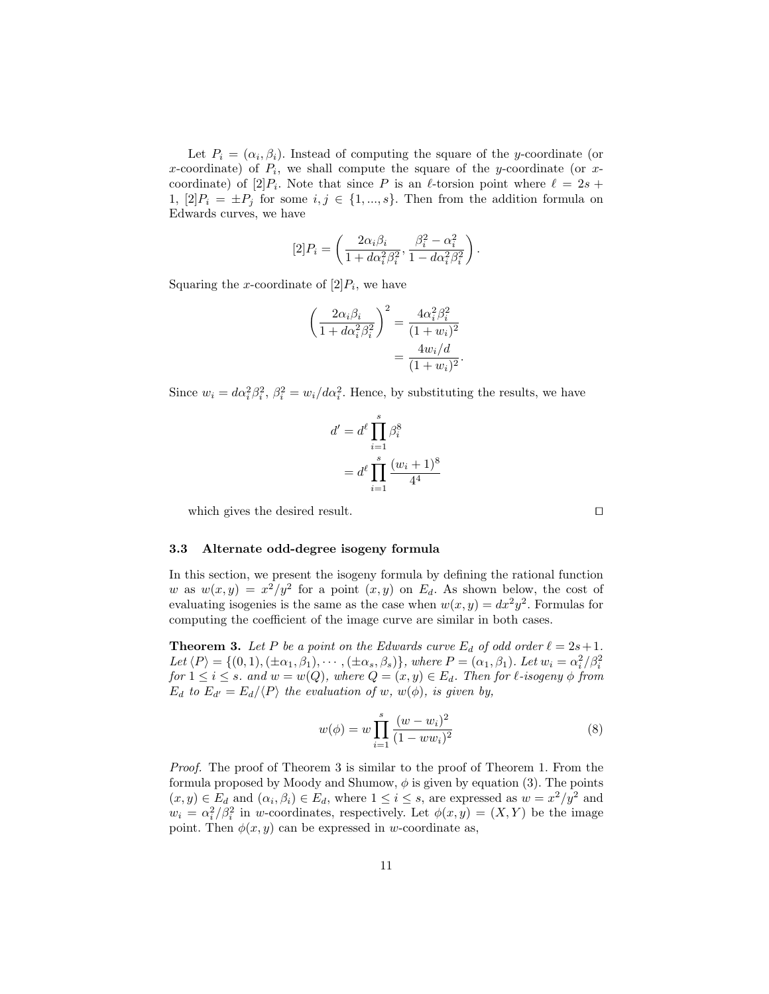Let  $P_i = (\alpha_i, \beta_i)$ . Instead of computing the square of the y-coordinate (or x-coordinate) of  $P_i$ , we shall compute the square of the y-coordinate (or xcoordinate) of  $[2]P_i$ . Note that since P is an  $\ell$ -torsion point where  $\ell = 2s +$ 1,  $[2]P_i = \pm P_j$  for some  $i, j \in \{1, ..., s\}$ . Then from the addition formula on Edwards curves, we have

$$
[2]P_i = \left(\frac{2\alpha_i\beta_i}{1 + d\alpha_i^2\beta_i^2}, \frac{\beta_i^2 - \alpha_i^2}{1 - d\alpha_i^2\beta_i^2}\right).
$$

Squaring the x-coordinate of  $[2]P_i$ , we have

$$
\left(\frac{2\alpha_i\beta_i}{1+d\alpha_i^2\beta_i^2}\right)^2 = \frac{4\alpha_i^2\beta_i^2}{(1+w_i)^2}
$$

$$
=\frac{4w_i/d}{(1+w_i)^2}
$$

Since  $w_i = d\alpha_i^2 \beta_i^2$ ,  $\beta_i^2 = w_i/d\alpha_i^2$ . Hence, by substituting the results, we have

$$
d' = d^{\ell} \prod_{i=1}^{s} \beta_i^8
$$

$$
= d^{\ell} \prod_{i=1}^{s} \frac{(w_i + 1)^8}{4^4}
$$

which gives the desired result.  $\Box$ 

#### 3.3 Alternate odd-degree isogeny formula

In this section, we present the isogeny formula by defining the rational function w as  $w(x,y) = x^2/y^2$  for a point  $(x, y)$  on  $E_d$ . As shown below, the cost of evaluating isogenies is the same as the case when  $w(x, y) = dx^2y^2$ . Formulas for computing the coefficient of the image curve are similar in both cases.

**Theorem 3.** Let P be a point on the Edwards curve  $E_d$  of odd order  $\ell = 2s + 1$ . Let  $\langle P \rangle = \{(0,1),(\pm \alpha_1, \beta_1),\cdots,(\pm \alpha_s, \beta_s)\}\$ , where  $P = (\alpha_1, \beta_1)$ . Let  $w_i = \alpha_i^2/\beta_i^2$ for  $1 \leq i \leq s$ . and  $w = w(Q)$ , where  $Q = (x, y) \in E_d$ . Then for  $\ell$ -isogeny  $\phi$  from  $E_d$  to  $E_{d'} = E_d / \langle P \rangle$  the evaluation of w,  $w(\phi)$ , is given by,

$$
w(\phi) = w \prod_{i=1}^{s} \frac{(w - w_i)^2}{(1 - ww_i)^2}
$$
 (8)

.

Proof. The proof of Theorem 3 is similar to the proof of Theorem 1. From the formula proposed by Moody and Shumow,  $\phi$  is given by equation (3). The points  $(x, y) \in E_d$  and  $(\alpha_i, \beta_i) \in E_d$ , where  $1 \leq i \leq s$ , are expressed as  $w = x^2/y^2$  and  $w_i = \alpha_i^2/\beta_i^2$  in w-coordinates, respectively. Let  $\phi(x, y) = (X, Y)$  be the image point. Then  $\phi(x, y)$  can be expressed in w-coordinate as,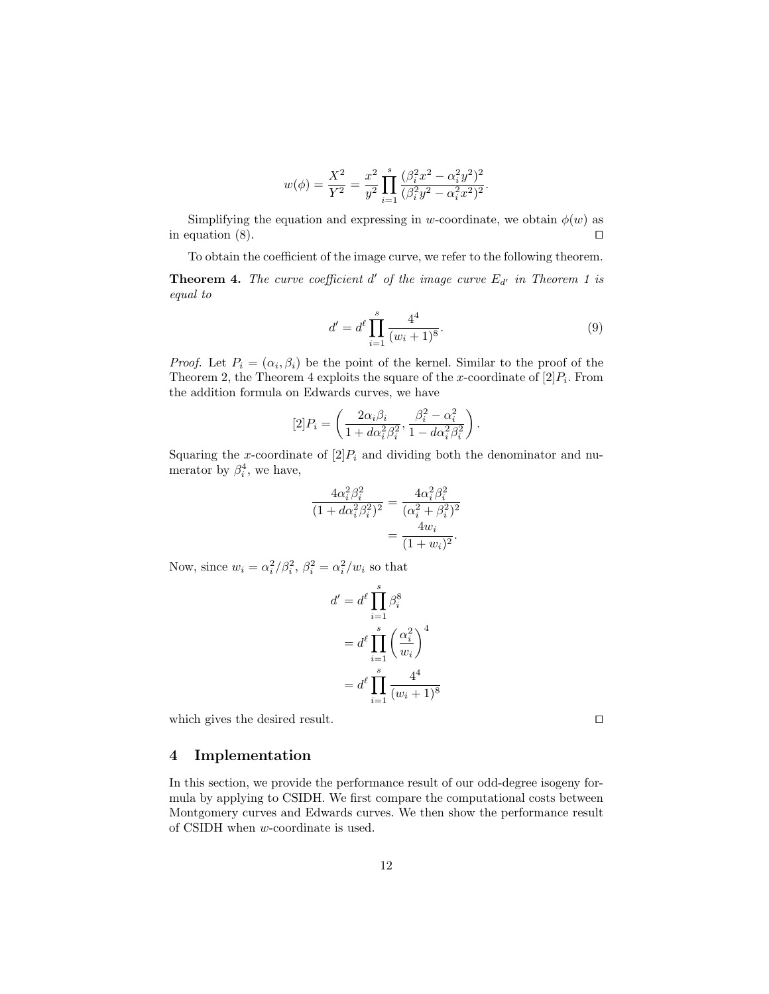$$
w(\phi)=\frac{X^2}{Y^2}=\frac{x^2}{y^2}\prod_{i=1}^s\frac{(\beta_i^2x^2-\alpha_i^2y^2)^2}{(\beta_i^2y^2-\alpha_i^2x^2)^2}.
$$

Simplifying the equation and expressing in w-coordinate, we obtain  $\phi(w)$  as in equation  $(8)$ .

To obtain the coefficient of the image curve, we refer to the following theorem.

**Theorem 4.** The curve coefficient  $d'$  of the image curve  $E_{d'}$  in Theorem 1 is equal to

$$
d' = d^{\ell} \prod_{i=1}^{s} \frac{4^4}{(w_i + 1)^8}.
$$
 (9)

.

*Proof.* Let  $P_i = (\alpha_i, \beta_i)$  be the point of the kernel. Similar to the proof of the Theorem 2, the Theorem 4 exploits the square of the x-coordinate of  $[2]P_i$ . From the addition formula on Edwards curves, we have

$$
[2]P_i = \left(\frac{2\alpha_i\beta_i}{1 + d\alpha_i^2\beta_i^2}, \frac{\beta_i^2 - \alpha_i^2}{1 - d\alpha_i^2\beta_i^2}\right)
$$

Squaring the x-coordinate of  $[2]P_i$  and dividing both the denominator and numerator by  $\beta_i^4$ , we have,

$$
\frac{4\alpha_i^2 \beta_i^2}{(1 + d\alpha_i^2 \beta_i^2)^2} = \frac{4\alpha_i^2 \beta_i^2}{(\alpha_i^2 + \beta_i^2)^2}
$$

$$
= \frac{4w_i}{(1 + w_i)^2}.
$$

Now, since  $w_i = \alpha_i^2/\beta_i^2$ ,  $\beta_i^2 = \alpha_i^2/w_i$  so that

$$
d' = d^{\ell} \prod_{i=1}^{s} \beta_i^8
$$
  
= 
$$
d^{\ell} \prod_{i=1}^{s} \left(\frac{\alpha_i^2}{w_i}\right)^4
$$
  
= 
$$
d^{\ell} \prod_{i=1}^{s} \frac{4^4}{(w_i+1)^8}
$$

which gives the desired result.  $\Box$ 

4 Implementation

In this section, we provide the performance result of our odd-degree isogeny formula by applying to CSIDH. We first compare the computational costs between Montgomery curves and Edwards curves. We then show the performance result of CSIDH when w-coordinate is used.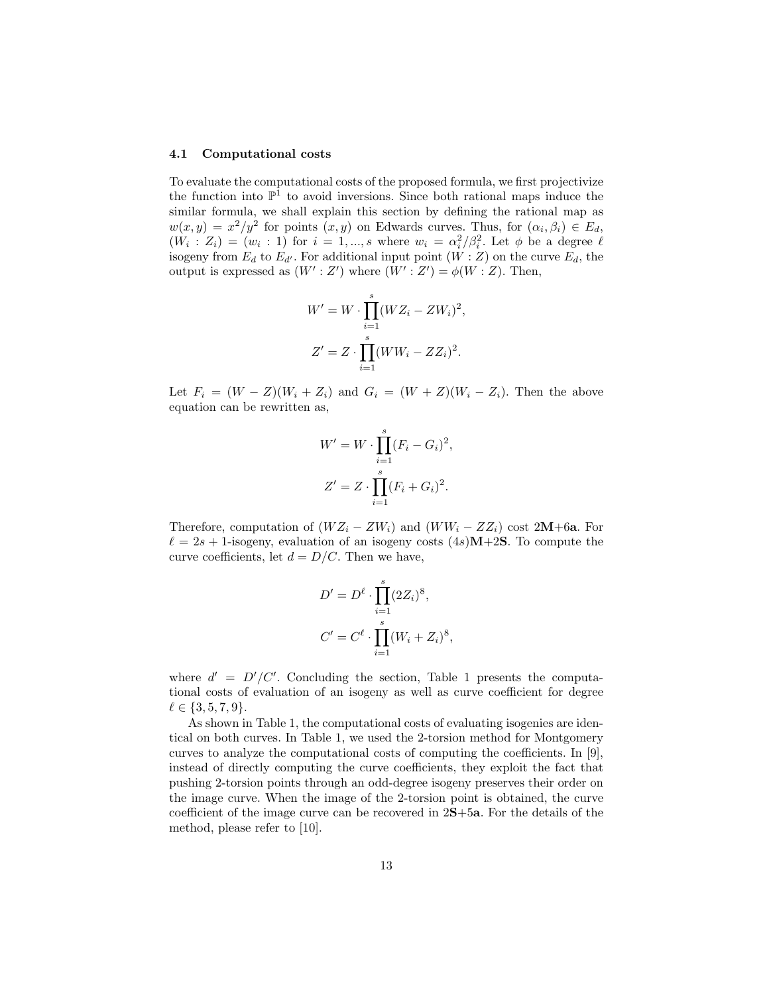#### 4.1 Computational costs

To evaluate the computational costs of the proposed formula, we first projectivize the function into  $\mathbb{P}^1$  to avoid inversions. Since both rational maps induce the similar formula, we shall explain this section by defining the rational map as  $w(x,y) = x^2/y^2$  for points  $(x, y)$  on Edwards curves. Thus, for  $(\alpha_i, \beta_i) \in E_d$ ,  $(W_i : Z_i) = (w_i : 1)$  for  $i = 1, ..., s$  where  $w_i = \alpha_i^2/\beta_i^2$ . Let  $\phi$  be a degree  $\ell$ isogeny from  $E_d$  to  $E_{d'}$ . For additional input point  $(W : Z)$  on the curve  $E_d$ , the output is expressed as  $(W' : Z')$  where  $(W' : Z') = \phi(W : Z)$ . Then,

$$
W' = W \cdot \prod_{i=1}^{s} (WZ_i - ZW_i)^2,
$$
  

$$
Z' = Z \cdot \prod_{i=1}^{s} (WW_i - ZZ_i)^2.
$$

Let  $F_i = (W - Z)(W_i + Z_i)$  and  $G_i = (W + Z)(W_i - Z_i)$ . Then the above equation can be rewritten as,

$$
W' = W \cdot \prod_{i=1}^{s} (F_i - G_i)^2,
$$
  

$$
Z' = Z \cdot \prod_{i=1}^{s} (F_i + G_i)^2.
$$

Therefore, computation of  $(WZ_i - ZW_i)$  and  $(WW_i - ZZ_i)$  cost 2M+6a. For  $\ell = 2s + 1$ -isogeny, evaluation of an isogeny costs  $(4s)M+2S$ . To compute the curve coefficients, let  $d = D/C$ . Then we have,

$$
D' = D^{\ell} \cdot \prod_{i=1}^{s} (2Z_i)^8,
$$
  

$$
C' = C^{\ell} \cdot \prod_{i=1}^{s} (W_i + Z_i)^8,
$$

where  $d' = D'/C'$ . Concluding the section, Table 1 presents the computational costs of evaluation of an isogeny as well as curve coefficient for degree  $\ell \in \{3, 5, 7, 9\}.$ 

As shown in Table 1, the computational costs of evaluating isogenies are identical on both curves. In Table 1, we used the 2-torsion method for Montgomery curves to analyze the computational costs of computing the coefficients. In [9], instead of directly computing the curve coefficients, they exploit the fact that pushing 2-torsion points through an odd-degree isogeny preserves their order on the image curve. When the image of the 2-torsion point is obtained, the curve coefficient of the image curve can be recovered in 2S+5a. For the details of the method, please refer to [10].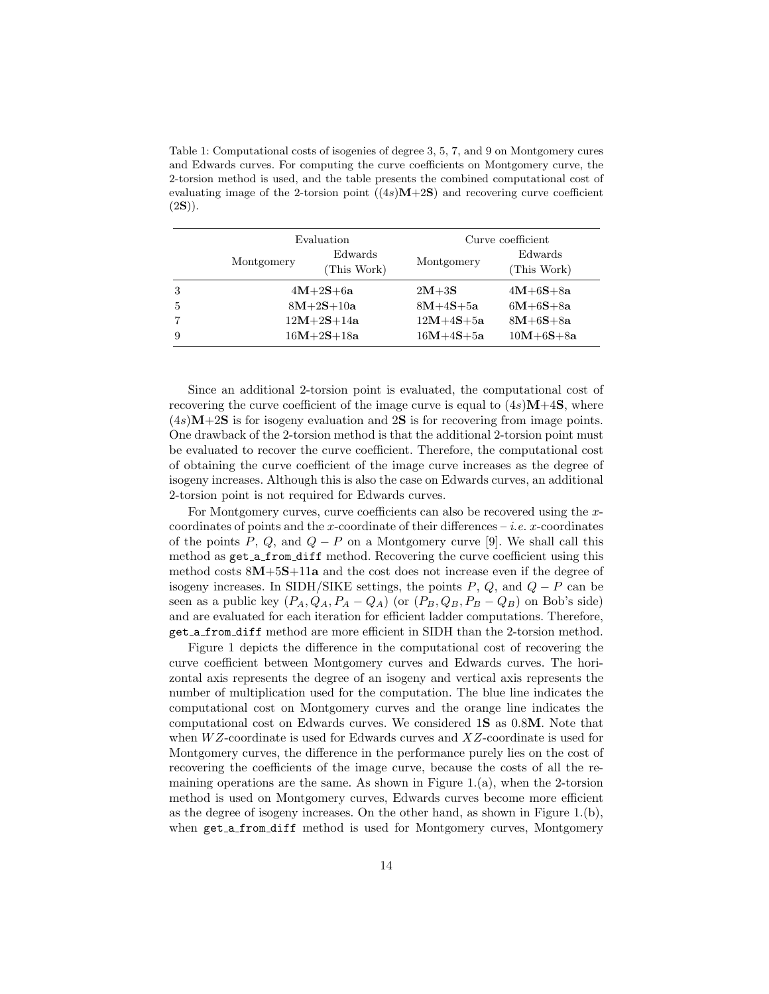Table 1: Computational costs of isogenies of degree 3, 5, 7, and 9 on Montgomery cures and Edwards curves. For computing the curve coefficients on Montgomery curve, the 2-torsion method is used, and the table presents the combined computational cost of evaluating image of the 2-torsion point  $((4s)M+2S)$  and recovering curve coefficient  $(2S)$ ).

|                | Evaluation |                        | Curve coefficient |                        |
|----------------|------------|------------------------|-------------------|------------------------|
|                | Montgomery | Edwards<br>(This Work) | Montgomery        | Edwards<br>(This Work) |
| 3              |            | $4M+2S+6a$             | $2M+3S$           | $4M + 6S + 8a$         |
| $\overline{5}$ |            | $8M + 2S + 10a$        | $8M+4S+5a$        | $6M + 6S + 8a$         |
|                |            | $12M+2S+14a$           | $12M+4S+5a$       | $8M + 6S + 8a$         |
| 9              |            | $16M + 2S + 18a$       | $16M+4S+5a$       | $10M + 6S + 8a$        |

Since an additional 2-torsion point is evaluated, the computational cost of recovering the curve coefficient of the image curve is equal to  $(4s)M+4S$ , where  $(4s)$ M+2S is for isogeny evaluation and 2S is for recovering from image points. One drawback of the 2-torsion method is that the additional 2-torsion point must be evaluated to recover the curve coefficient. Therefore, the computational cost of obtaining the curve coefficient of the image curve increases as the degree of isogeny increases. Although this is also the case on Edwards curves, an additional 2-torsion point is not required for Edwards curves.

For Montgomery curves, curve coefficients can also be recovered using the xcoordinates of points and the x-coordinate of their differences – *i.e.*  $x$ -coordinates of the points P, Q, and  $Q - P$  on a Montgomery curve [9]. We shall call this method as get a from diff method. Recovering the curve coefficient using this method costs 8M+5S+11a and the cost does not increase even if the degree of isogeny increases. In SIDH/SIKE settings, the points  $P, Q$ , and  $Q - P$  can be seen as a public key  $(P_A, Q_A, P_A - Q_A)$  (or  $(P_B, Q_B, P_B - Q_B)$ ) on Bob's side) and are evaluated for each iteration for efficient ladder computations. Therefore, get a from diff method are more efficient in SIDH than the 2-torsion method.

Figure 1 depicts the difference in the computational cost of recovering the curve coefficient between Montgomery curves and Edwards curves. The horizontal axis represents the degree of an isogeny and vertical axis represents the number of multiplication used for the computation. The blue line indicates the computational cost on Montgomery curves and the orange line indicates the computational cost on Edwards curves. We considered 1S as 0.8M. Note that when  $WZ$ -coordinate is used for Edwards curves and  $XZ$ -coordinate is used for Montgomery curves, the difference in the performance purely lies on the cost of recovering the coefficients of the image curve, because the costs of all the remaining operations are the same. As shown in Figure 1.(a), when the 2-torsion method is used on Montgomery curves, Edwards curves become more efficient as the degree of isogeny increases. On the other hand, as shown in Figure 1.(b), when get a from diff method is used for Montgomery curves, Montgomery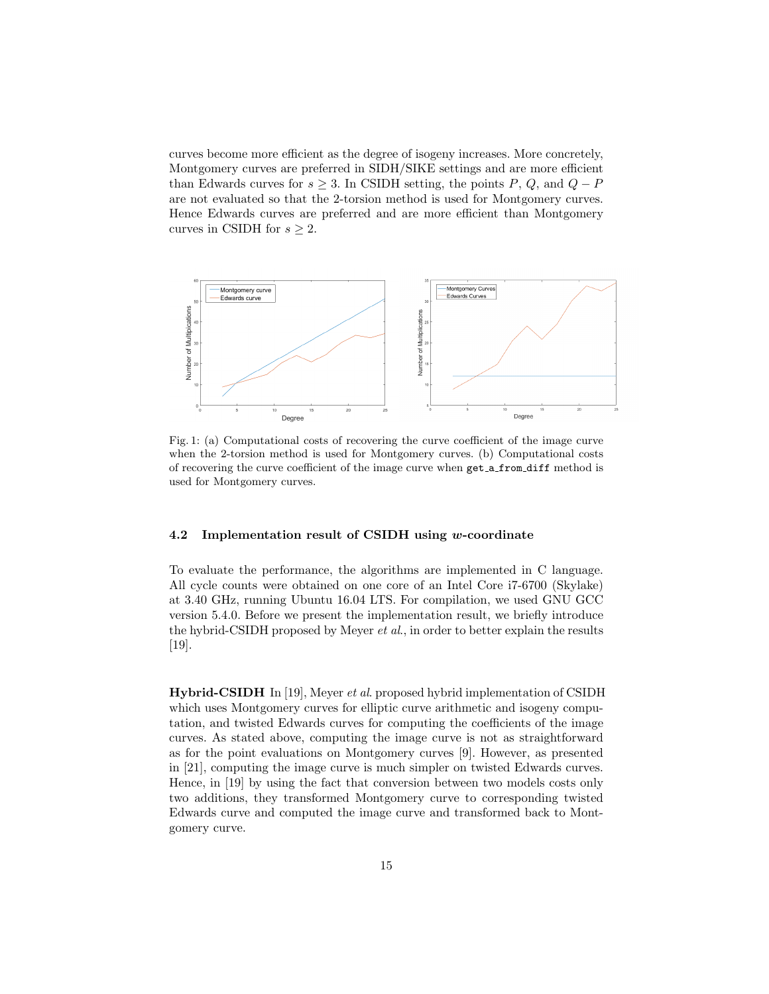curves become more efficient as the degree of isogeny increases. More concretely, Montgomery curves are preferred in SIDH/SIKE settings and are more efficient than Edwards curves for  $s \geq 3$ . In CSIDH setting, the points P, Q, and  $Q - P$ are not evaluated so that the 2-torsion method is used for Montgomery curves. Hence Edwards curves are preferred and are more efficient than Montgomery curves in CSIDH for  $s \geq 2$ .



Fig. 1: (a) Computational costs of recovering the curve coefficient of the image curve when the 2-torsion method is used for Montgomery curves. (b) Computational costs of recovering the curve coefficient of the image curve when get a from diff method is used for Montgomery curves.

#### 4.2 Implementation result of CSIDH using w-coordinate

To evaluate the performance, the algorithms are implemented in C language. All cycle counts were obtained on one core of an Intel Core i7-6700 (Skylake) at 3.40 GHz, running Ubuntu 16.04 LTS. For compilation, we used GNU GCC version 5.4.0. Before we present the implementation result, we briefly introduce the hybrid-CSIDH proposed by Meyer et al., in order to better explain the results [19].

Hybrid-CSIDH In [19], Meyer et al. proposed hybrid implementation of CSIDH which uses Montgomery curves for elliptic curve arithmetic and isogeny computation, and twisted Edwards curves for computing the coefficients of the image curves. As stated above, computing the image curve is not as straightforward as for the point evaluations on Montgomery curves [9]. However, as presented in [21], computing the image curve is much simpler on twisted Edwards curves. Hence, in [19] by using the fact that conversion between two models costs only two additions, they transformed Montgomery curve to corresponding twisted Edwards curve and computed the image curve and transformed back to Montgomery curve.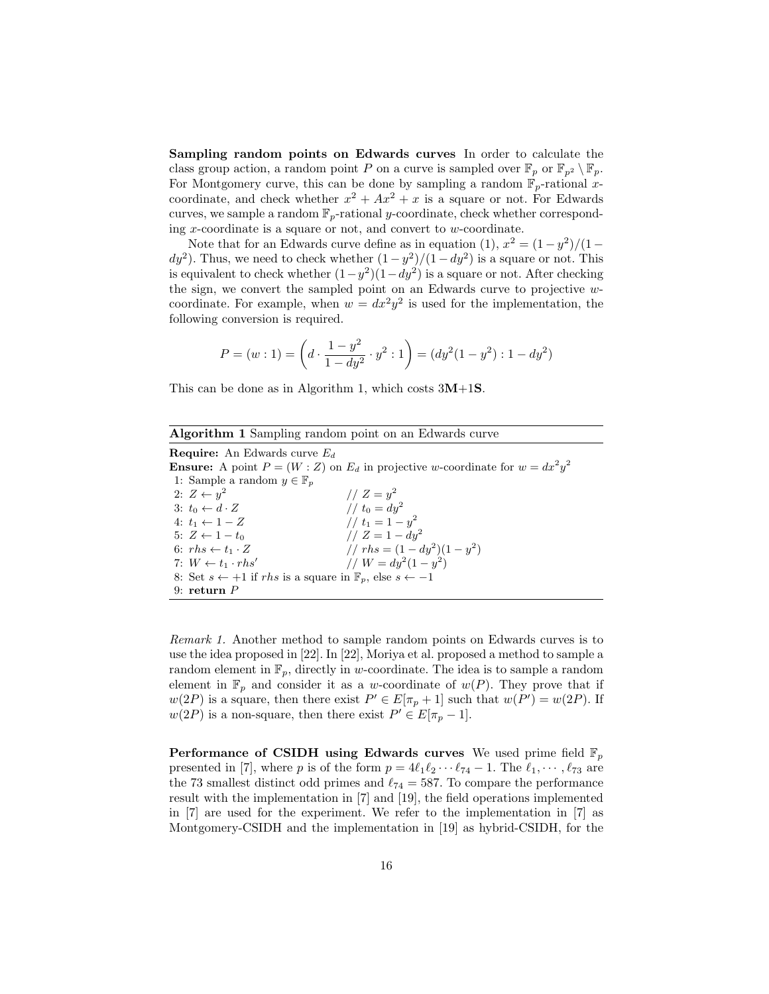Sampling random points on Edwards curves In order to calculate the class group action, a random point P on a curve is sampled over  $\mathbb{F}_p$  or  $\mathbb{F}_{p^2} \setminus \mathbb{F}_p$ . For Montgomery curve, this can be done by sampling a random  $\mathbb{F}_p$ -rational xcoordinate, and check whether  $x^2 + Ax^2 + x$  is a square or not. For Edwards curves, we sample a random  $\mathbb{F}_p$ -rational y-coordinate, check whether corresponding  $x$ -coordinate is a square or not, and convert to  $w$ -coordinate.

Note that for an Edwards curve define as in equation (1),  $x^2 = (1 - y^2)/(1$  $dy^2$ ). Thus, we need to check whether  $(1-y^2)/(1-dy^2)$  is a square or not. This is equivalent to check whether  $(1-y^2)(1-dy^2)$  is a square or not. After checking the sign, we convert the sampled point on an Edwards curve to projective  $w$ coordinate. For example, when  $w = dx^2y^2$  is used for the implementation, the following conversion is required.

$$
P = (w:1) = \left(d \cdot \frac{1-y^2}{1-dy^2} \cdot y^2 : 1\right) = (dy^2(1-y^2): 1-dy^2)
$$

This can be done as in Algorithm 1, which costs  $3M+1S$ .

Algorithm 1 Sampling random point on an Edwards curve

**Require:** An Edwards curve  $E_d$ **Ensure:** A point  $P = (W : Z)$  on  $E_d$  in projective w-coordinate for  $w = dx^2 y^2$ 1: Sample a random  $y \in \mathbb{F}_p$ 2:  $Z \leftarrow y^2$  $1/Z = y^2$ 3:  $t_0 \leftarrow d \cdot Z$  //  $t_0 = dy^2$ 4:  $t_1 \leftarrow 1 - Z$  //  $t_1 = 1 - y^2$ 5:  $Z \leftarrow 1 - t_0$  //  $Z = 1 - dy^2$ 6:  $rhs \leftarrow t_1 \cdot Z$  //  $rhs = (1 - dy^2)(1 - y^2)$ 7:  $W \leftarrow t_1 \cdot r h s'$ //  $W = dy^2(1 - y^2)$ 8: Set  $s \leftarrow +1$  if rhs is a square in  $\mathbb{F}_p$ , else  $s \leftarrow -1$ 9: return P

Remark 1. Another method to sample random points on Edwards curves is to use the idea proposed in [22]. In [22], Moriya et al. proposed a method to sample a random element in  $\mathbb{F}_p$ , directly in w-coordinate. The idea is to sample a random element in  $\mathbb{F}_p$  and consider it as a w-coordinate of  $w(P)$ . They prove that if  $w(2P)$  is a square, then there exist  $P' \in E[\pi_p + 1]$  such that  $w(P') = w(2P)$ . If  $w(2P)$  is a non-square, then there exist  $P' \in E[\pi_p - 1]$ .

**Performance of CSIDH using Edwards curves** We used prime field  $\mathbb{F}_p$ presented in [7], where p is of the form  $p = 4\ell_1\ell_2 \cdots \ell_{74} - 1$ . The  $\ell_1, \cdots, \ell_{73}$  are the 73 smallest distinct odd primes and  $\ell_{74} = 587$ . To compare the performance result with the implementation in [7] and [19], the field operations implemented in [7] are used for the experiment. We refer to the implementation in [7] as Montgomery-CSIDH and the implementation in [19] as hybrid-CSIDH, for the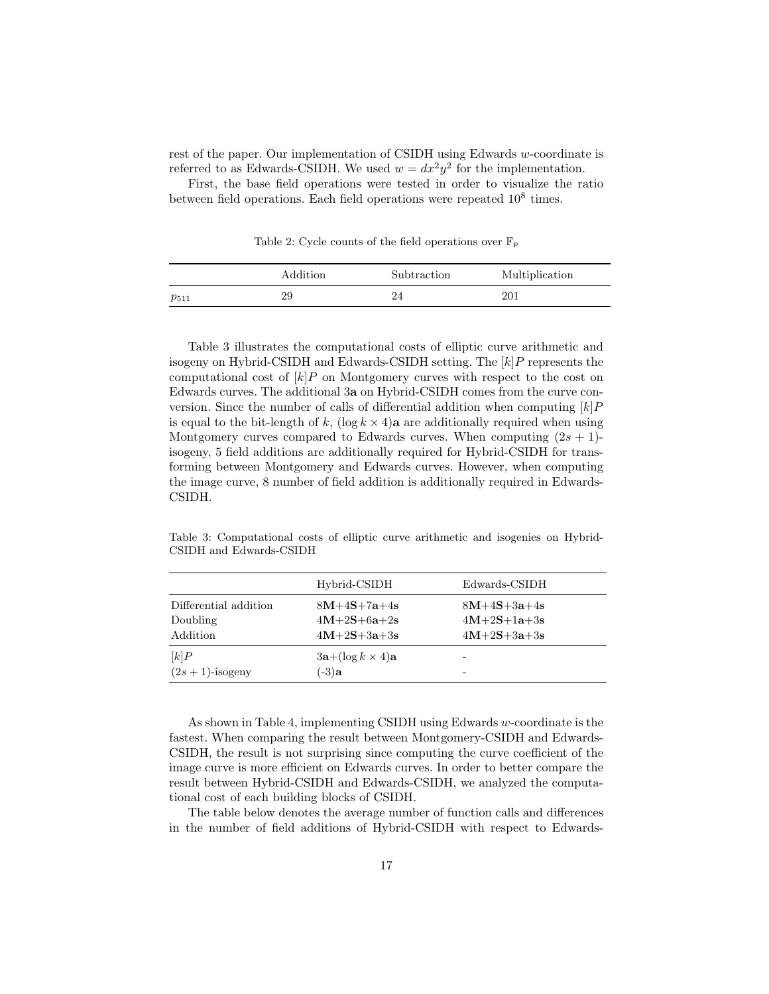rest of the paper. Our implementation of CSIDH using Edwards w-coordinate is referred to as Edwards-CSIDH. We used  $w = dx^2y^2$  for the implementation.

First, the base field operations were tested in order to visualize the ratio between field operations. Each field operations were repeated  $10^8$  times.

Table 2: Cycle counts of the field operations over  $\mathbb{F}_p$ 

|           | Addition | Subtraction | Multiplication |
|-----------|----------|-------------|----------------|
| $p_{511}$ | 29       |             | 201            |

Table 3 illustrates the computational costs of elliptic curve arithmetic and isogeny on Hybrid-CSIDH and Edwards-CSIDH setting. The  $[k]P$  represents the computational cost of  $k$   $P$  on Montgomery curves with respect to the cost on Edwards curves. The additional 3a on Hybrid-CSIDH comes from the curve conversion. Since the number of calls of differential addition when computing  $[k]P$ is equal to the bit-length of k,  $(\log k \times 4)a$  are additionally required when using Montgomery curves compared to Edwards curves. When computing  $(2s + 1)$ isogeny, 5 field additions are additionally required for Hybrid-CSIDH for transforming between Montgomery and Edwards curves. However, when computing the image curve, 8 number of field addition is additionally required in Edwards-CSIDH.

Table 3: Computational costs of elliptic curve arithmetic and isogenies on Hybrid-CSIDH and Edwards-CSIDH

|                       | Hybrid-CSIDH              | Edwards-CSIDH |
|-----------------------|---------------------------|---------------|
| Differential addition | $8M+4S+7a+4s$             | $8M+4S+3a+4s$ |
| Doubling              | $4M+2S+6a+2s$             | $4M+2S+1a+3s$ |
| Addition              | $4M+2S+3a+3s$             | $4M+2S+3a+3s$ |
| [k]P                  | $3a + (\log k \times 4)a$ | -             |
| $(2s+1)$ -isogeny     | $(-3)$ a                  | -             |

As shown in Table 4, implementing CSIDH using Edwards w-coordinate is the fastest. When comparing the result between Montgomery-CSIDH and Edwards-CSIDH, the result is not surprising since computing the curve coefficient of the image curve is more efficient on Edwards curves. In order to better compare the result between Hybrid-CSIDH and Edwards-CSIDH, we analyzed the computational cost of each building blocks of CSIDH.

The table below denotes the average number of function calls and differences in the number of field additions of Hybrid-CSIDH with respect to Edwards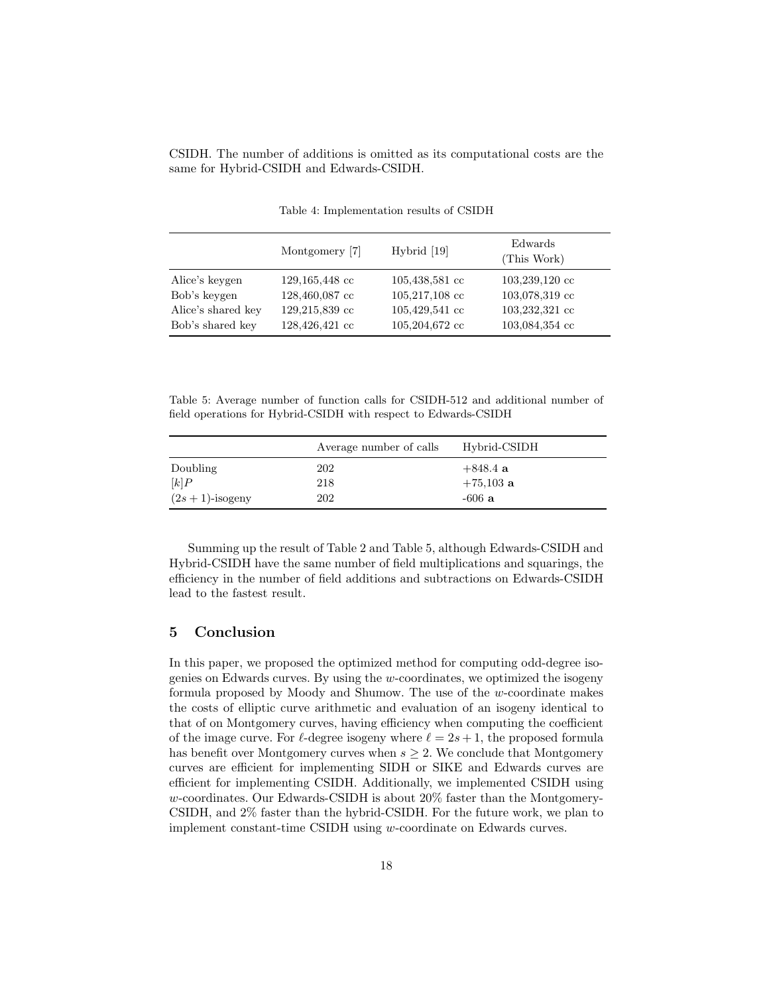CSIDH. The number of additions is omitted as its computational costs are the same for Hybrid-CSIDH and Edwards-CSIDH.

|                    | Montgomery [7] | Hybrid [19]              | Edwards<br>(This Work) |
|--------------------|----------------|--------------------------|------------------------|
| Alice's keygen     | 129,165,448 cc | $105,438,581 \text{ cc}$ | $103,239,120$ cc       |
| Bob's keygen       | 128,460,087 cc | $105,217,108$ cc         | 103,078,319 cc         |
| Alice's shared key | 129,215,839 cc | $105,429,541 \text{ cc}$ | 103,232,321 cc         |
| Bob's shared key   | 128,426,421 cc | $105,204,672 \text{ cc}$ | 103,084,354 cc         |

Table 4: Implementation results of CSIDH

Table 5: Average number of function calls for CSIDH-512 and additional number of field operations for Hybrid-CSIDH with respect to Edwards-CSIDH

|                   | Average number of calls | Hybrid-CSIDH |
|-------------------|-------------------------|--------------|
| Doubling          | 202                     | $+848.4a$    |
| [k]P              | 218                     | $+75,103$ a  |
| $(2s+1)$ -isogeny | 202                     | $-606a$      |

Summing up the result of Table 2 and Table 5, although Edwards-CSIDH and Hybrid-CSIDH have the same number of field multiplications and squarings, the efficiency in the number of field additions and subtractions on Edwards-CSIDH lead to the fastest result.

# 5 Conclusion

In this paper, we proposed the optimized method for computing odd-degree isogenies on Edwards curves. By using the  $w$ -coordinates, we optimized the isogeny formula proposed by Moody and Shumow. The use of the w-coordinate makes the costs of elliptic curve arithmetic and evaluation of an isogeny identical to that of on Montgomery curves, having efficiency when computing the coefficient of the image curve. For  $\ell$ -degree isogeny where  $\ell = 2s + 1$ , the proposed formula has benefit over Montgomery curves when  $s \geq 2$ . We conclude that Montgomery curves are efficient for implementing SIDH or SIKE and Edwards curves are efficient for implementing CSIDH. Additionally, we implemented CSIDH using w-coordinates. Our Edwards-CSIDH is about 20% faster than the Montgomery-CSIDH, and 2% faster than the hybrid-CSIDH. For the future work, we plan to implement constant-time CSIDH using w-coordinate on Edwards curves.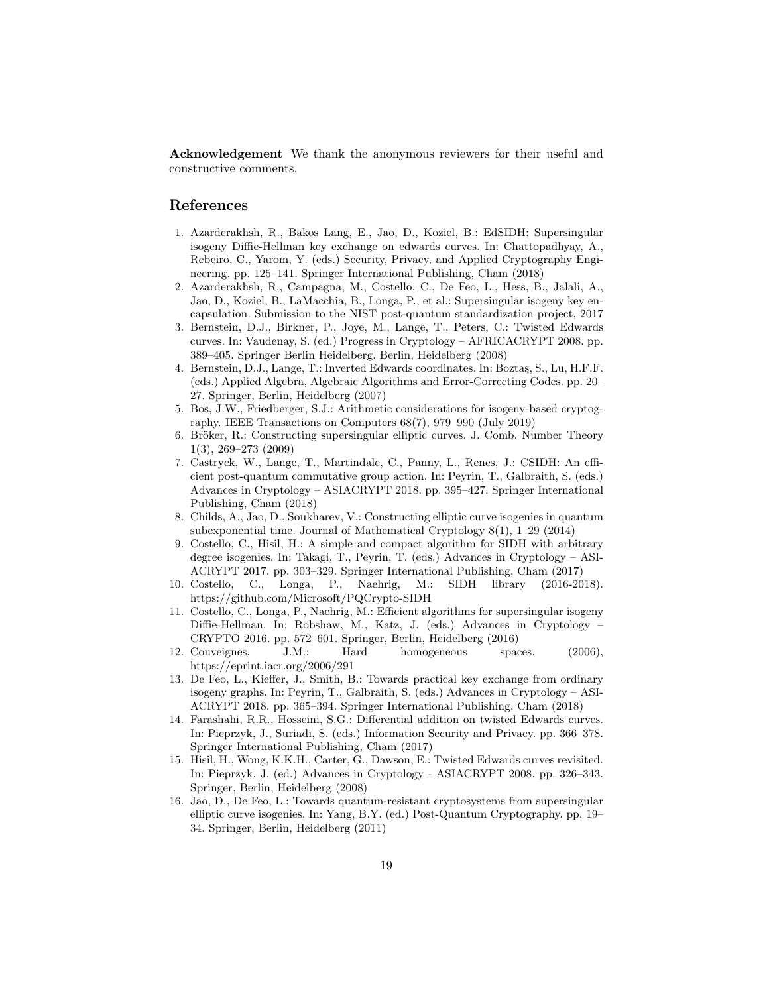Acknowledgement We thank the anonymous reviewers for their useful and constructive comments.

# References

- 1. Azarderakhsh, R., Bakos Lang, E., Jao, D., Koziel, B.: EdSIDH: Supersingular isogeny Diffie-Hellman key exchange on edwards curves. In: Chattopadhyay, A., Rebeiro, C., Yarom, Y. (eds.) Security, Privacy, and Applied Cryptography Engineering. pp. 125–141. Springer International Publishing, Cham (2018)
- 2. Azarderakhsh, R., Campagna, M., Costello, C., De Feo, L., Hess, B., Jalali, A., Jao, D., Koziel, B., LaMacchia, B., Longa, P., et al.: Supersingular isogeny key encapsulation. Submission to the NIST post-quantum standardization project, 2017
- 3. Bernstein, D.J., Birkner, P., Joye, M., Lange, T., Peters, C.: Twisted Edwards curves. In: Vaudenay, S. (ed.) Progress in Cryptology – AFRICACRYPT 2008. pp. 389–405. Springer Berlin Heidelberg, Berlin, Heidelberg (2008)
- 4. Bernstein, D.J., Lange, T.: Inverted Edwards coordinates. In: Boztaş, S., Lu, H.F.F. (eds.) Applied Algebra, Algebraic Algorithms and Error-Correcting Codes. pp. 20– 27. Springer, Berlin, Heidelberg (2007)
- 5. Bos, J.W., Friedberger, S.J.: Arithmetic considerations for isogeny-based cryptography. IEEE Transactions on Computers 68(7), 979–990 (July 2019)
- 6. Bröker, R.: Constructing supersingular elliptic curves. J. Comb. Number Theory 1(3), 269–273 (2009)
- 7. Castryck, W., Lange, T., Martindale, C., Panny, L., Renes, J.: CSIDH: An efficient post-quantum commutative group action. In: Peyrin, T., Galbraith, S. (eds.) Advances in Cryptology – ASIACRYPT 2018. pp. 395–427. Springer International Publishing, Cham (2018)
- 8. Childs, A., Jao, D., Soukharev, V.: Constructing elliptic curve isogenies in quantum subexponential time. Journal of Mathematical Cryptology 8(1), 1–29 (2014)
- 9. Costello, C., Hisil, H.: A simple and compact algorithm for SIDH with arbitrary degree isogenies. In: Takagi, T., Peyrin, T. (eds.) Advances in Cryptology – ASI-ACRYPT 2017. pp. 303–329. Springer International Publishing, Cham (2017)
- 10. Costello, C., Longa, P., Naehrig, M.: SIDH library (2016-2018). https://github.com/Microsoft/PQCrypto-SIDH
- 11. Costello, C., Longa, P., Naehrig, M.: Efficient algorithms for supersingular isogeny Diffie-Hellman. In: Robshaw, M., Katz, J. (eds.) Advances in Cryptology – CRYPTO 2016. pp. 572–601. Springer, Berlin, Heidelberg (2016)
- 12. Couveignes, J.M.: Hard homogeneous spaces. (2006), https://eprint.iacr.org/2006/291
- 13. De Feo, L., Kieffer, J., Smith, B.: Towards practical key exchange from ordinary isogeny graphs. In: Peyrin, T., Galbraith, S. (eds.) Advances in Cryptology – ASI-ACRYPT 2018. pp. 365–394. Springer International Publishing, Cham (2018)
- 14. Farashahi, R.R., Hosseini, S.G.: Differential addition on twisted Edwards curves. In: Pieprzyk, J., Suriadi, S. (eds.) Information Security and Privacy. pp. 366–378. Springer International Publishing, Cham (2017)
- 15. Hisil, H., Wong, K.K.H., Carter, G., Dawson, E.: Twisted Edwards curves revisited. In: Pieprzyk, J. (ed.) Advances in Cryptology - ASIACRYPT 2008. pp. 326–343. Springer, Berlin, Heidelberg (2008)
- 16. Jao, D., De Feo, L.: Towards quantum-resistant cryptosystems from supersingular elliptic curve isogenies. In: Yang, B.Y. (ed.) Post-Quantum Cryptography. pp. 19– 34. Springer, Berlin, Heidelberg (2011)